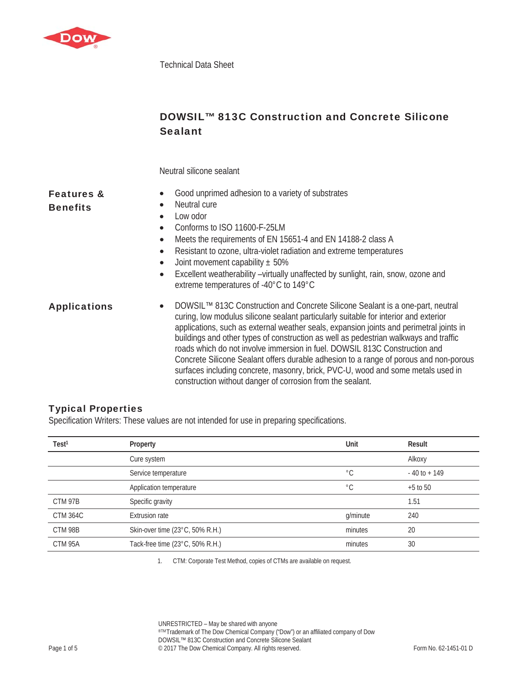

Technical Data Sheet

# DOWSIL™ 813C Construction and Concrete Silicone **Sealant**

Neutral silicone sealant

| <b>Features &amp;</b><br><b>Benefits</b> | Good unprimed adhesion to a variety of substrates<br>Neutral cure<br>$\bullet$<br>Low odor<br>$\bullet$<br>Conforms to ISO 11600-F-25LM<br>$\bullet$<br>Meets the requirements of EN 15651-4 and EN 14188-2 class A<br>$\bullet$<br>Resistant to ozone, ultra-violet radiation and extreme temperatures<br>$\bullet$<br>Joint movement capability $\pm$ 50%<br>$\bullet$<br>Excellent weatherability -virtually unaffected by sunlight, rain, snow, ozone and<br>$\bullet$<br>extreme temperatures of -40°C to 149°C                                                                                                                                                                            |
|------------------------------------------|-------------------------------------------------------------------------------------------------------------------------------------------------------------------------------------------------------------------------------------------------------------------------------------------------------------------------------------------------------------------------------------------------------------------------------------------------------------------------------------------------------------------------------------------------------------------------------------------------------------------------------------------------------------------------------------------------|
| <b>Applications</b>                      | DOWSIL™ 813C Construction and Concrete Silicone Sealant is a one-part, neutral<br>$\bullet$<br>curing, low modulus silicone sealant particularly suitable for interior and exterior<br>applications, such as external weather seals, expansion joints and perimetral joints in<br>buildings and other types of construction as well as pedestrian walkways and traffic<br>roads which do not involve immersion in fuel. DOWSIL 813C Construction and<br>Concrete Silicone Sealant offers durable adhesion to a range of porous and non-porous<br>surfaces including concrete, masonry, brick, PVC-U, wood and some metals used in<br>construction without danger of corrosion from the sealant. |

#### Typical Properties

Specification Writers: These values are not intended for use in preparing specifications.

| Test <sup>1</sup> | Property                        | Unit        | Result          |
|-------------------|---------------------------------|-------------|-----------------|
|                   | Cure system                     |             | Alkoxy          |
|                   | Service temperature             | $^{\circ}C$ | $-40$ to $+149$ |
|                   | Application temperature         | $^{\circ}C$ | $+5$ to 50      |
| CTM 97B           | Specific gravity                |             | 1.51            |
| <b>CTM 364C</b>   | <b>Extrusion rate</b>           | g/minute    | 240             |
| CTM 98B           | Skin-over time (23°C, 50% R.H.) | minutes     | 20              |
| CTM 95A           | Tack-free time (23°C, 50% R.H.) | minutes     | 30              |

1. CTM: Corporate Test Method, copies of CTMs are available on request.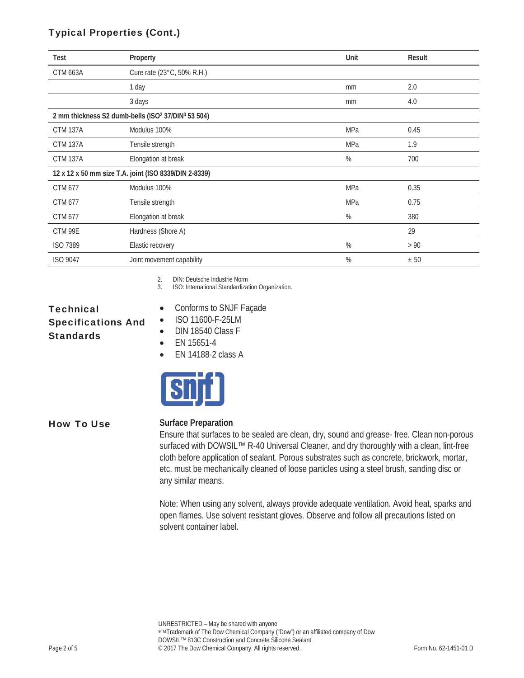### Typical Properties (Cont.)

| Test                                                                       | Property                   | Unit | Result |
|----------------------------------------------------------------------------|----------------------------|------|--------|
| <b>CTM 663A</b>                                                            | Cure rate (23°C, 50% R.H.) |      |        |
|                                                                            | 1 day                      | mm   | 2.0    |
|                                                                            | 3 days                     | mm   | 4.0    |
| 2 mm thickness S2 dumb-bells (ISO <sup>2</sup> 37/DIN <sup>3</sup> 53 504) |                            |      |        |
| <b>CTM 137A</b>                                                            | Modulus 100%               | MPa  | 0.45   |
| <b>CTM 137A</b>                                                            | Tensile strength           | MPa  | 1.9    |
| <b>CTM 137A</b>                                                            | Elongation at break        | $\%$ | 700    |
| 12 x 12 x 50 mm size T.A. joint (ISO 8339/DIN 2-8339)                      |                            |      |        |
| CTM 677                                                                    | Modulus 100%               | MPa  | 0.35   |
| CTM 677                                                                    | Tensile strength           | MPa  | 0.75   |
| CTM 677                                                                    | Elongation at break        | $\%$ | 380    |
| CTM 99E                                                                    | Hardness (Shore A)         |      | 29     |
| <b>ISO 7389</b>                                                            | Elastic recovery           | %    | > 90   |
| <b>ISO 9047</b>                                                            | Joint movement capability  | $\%$ | ± 50   |

2. DIN: Deutsche Industrie Norm

3. ISO: International Standardization Organization.

## **Technical** Specifications And **Standards**

- Conforms to SNJF Façade
- ISO 11600-F-25LM
- $\bullet$  DIN 18540 Class F
	- $\bullet$  EN 15651-4
	- $\bullet$  EN 14188-2 class A



#### How To Use **Surface Preparation**

Ensure that surfaces to be sealed are clean, dry, sound and grease- free. Clean non-porous surfaced with DOWSIL™ R-40 Universal Cleaner, and dry thoroughly with a clean, lint-free cloth before application of sealant. Porous substrates such as concrete, brickwork, mortar, etc. must be mechanically cleaned of loose particles using a steel brush, sanding disc or any similar means.

Note: When using any solvent, always provide adequate ventilation. Avoid heat, sparks and open flames. Use solvent resistant gloves. Observe and follow all precautions listed on solvent container label.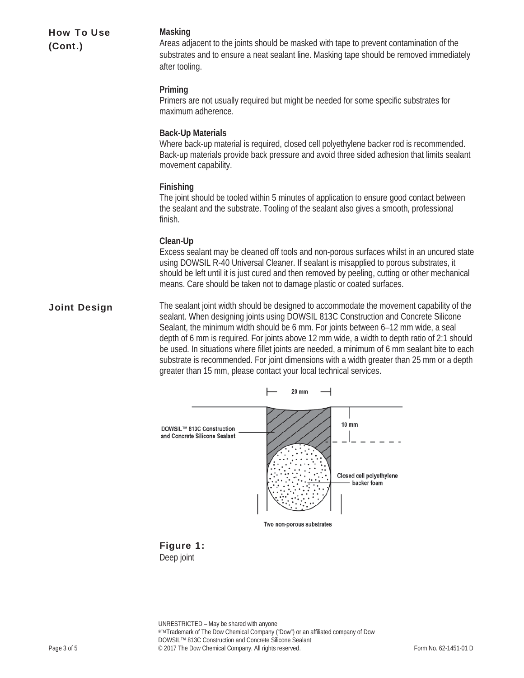| <b>How To Use</b><br>(Cont.) | Masking<br>Areas adjacent to the joints should be masked with tape to prevent contamination of the<br>substrates and to ensure a neat sealant line. Masking tape should be removed immediately<br>after tooling.                                                                                                                                                                                                                                                                                                                                                                                                                         |  |
|------------------------------|------------------------------------------------------------------------------------------------------------------------------------------------------------------------------------------------------------------------------------------------------------------------------------------------------------------------------------------------------------------------------------------------------------------------------------------------------------------------------------------------------------------------------------------------------------------------------------------------------------------------------------------|--|
|                              | Priming<br>Primers are not usually required but might be needed for some specific substrates for<br>maximum adherence.                                                                                                                                                                                                                                                                                                                                                                                                                                                                                                                   |  |
|                              | <b>Back-Up Materials</b><br>Where back-up material is required, closed cell polyethylene backer rod is recommended.<br>Back-up materials provide back pressure and avoid three sided adhesion that limits sealant<br>movement capability.                                                                                                                                                                                                                                                                                                                                                                                                |  |
|                              | Finishing<br>The joint should be tooled within 5 minutes of application to ensure good contact between<br>the sealant and the substrate. Tooling of the sealant also gives a smooth, professional<br>finish.                                                                                                                                                                                                                                                                                                                                                                                                                             |  |
|                              | Clean-Up<br>Excess sealant may be cleaned off tools and non-porous surfaces whilst in an uncured state<br>using DOWSIL R-40 Universal Cleaner. If sealant is misapplied to porous substrates, it<br>should be left until it is just cured and then removed by peeling, cutting or other mechanical<br>means. Care should be taken not to damage plastic or coated surfaces.                                                                                                                                                                                                                                                              |  |
| <b>Joint Design</b>          | The sealant joint width should be designed to accommodate the movement capability of the<br>sealant. When designing joints using DOWSIL 813C Construction and Concrete Silicone<br>Sealant, the minimum width should be 6 mm. For joints between 6-12 mm wide, a seal<br>depth of 6 mm is required. For joints above 12 mm wide, a width to depth ratio of 2:1 should<br>be used. In situations where fillet joints are needed, a minimum of 6 mm sealant bite to each<br>substrate is recommended. For joint dimensions with a width greater than 25 mm or a depth<br>greater than 15 mm, please contact your local technical services. |  |
|                              | <b>20 mm</b>                                                                                                                                                                                                                                                                                                                                                                                                                                                                                                                                                                                                                             |  |
|                              | <b>10 mm</b><br>DOWSIL™ 813C Construction<br>and Concrete Silicone Sealant                                                                                                                                                                                                                                                                                                                                                                                                                                                                                                                                                               |  |



Two non-porous substrates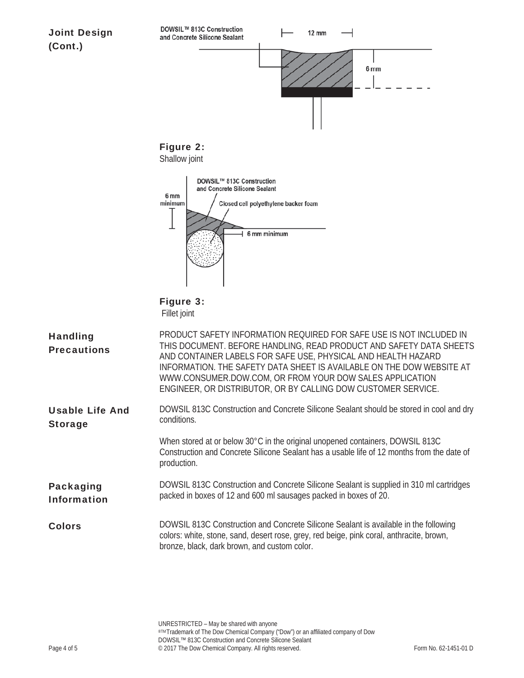